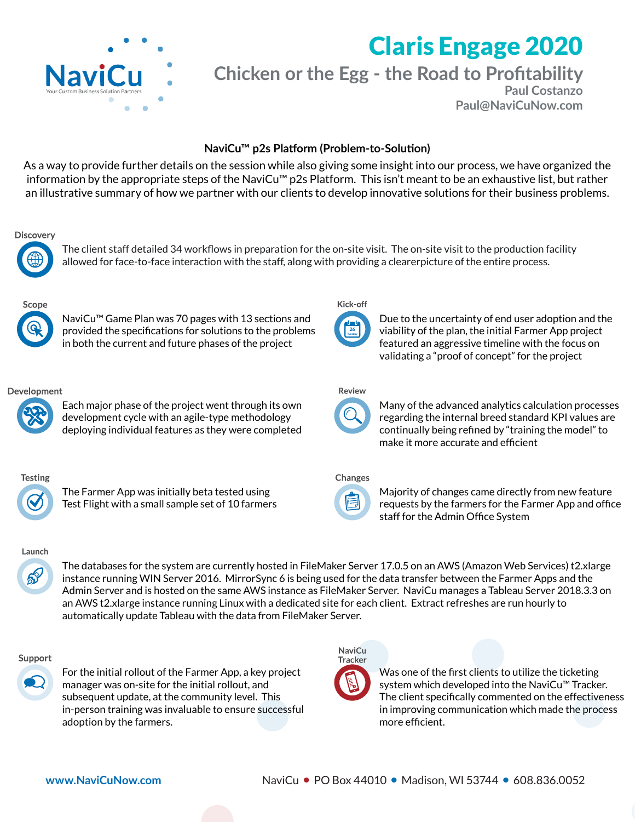

# Claris Engage 2020

**Chicken or the Egg - the Road to Profitability**

**Paul Costanzo Paul@NaviCuNow.com**

# NaviCu<sup>™</sup> p2s Platform (Problem-to-Solution)

As a way to provide further details on the session while also giving some insight into our process, we have organized the information by the appropriate steps of the NaviCu™ p2s Platform. This isn't meant to be an exhaustive list, but rather an illustrative summary of how we partner with our clients to develop innovative solutions for their business problems.

## **Discovery**



The client staff detailed 34 workflows in preparation for the on-site visit. The on-site visit to the production facility allowed for face-to-face interaction with the staff, along with providing a clearerpicture of the entire process.



NaviCu™ Game Plan was 70 pages with 13 sections and provided the specifications for solutions to the problems in both the current and future phases of the project

# Development



Each major phase of the project went through its own development cycle with an agile-type methodology deploying individual features as they were completed



The Farmer App was initially beta tested using Test Flight with a small sample set of 10 farmers

# Kick-off



Due to the uncertainty of end user adoption and the viability of the plan, the initial Farmer App project featured an aggressive timeline with the focus on validating a "proof of concept" for the project

## Review



Many of the advanced analytics calculation processes regarding the internal breed standard KPI values are continually being refined by "training the model" to make it more accurate and efficient

# Changes



Majority of changes came directly from new feature requests by the farmers for the Farmer App and office staff for the Admin Office System

# Launch

ஜி

The databases for the system are currently hosted in FileMaker Server 17.0.5 on an AWS (Amazon Web Services) t2.xlarge instance running WIN Server 2016. MirrorSync 6 is being used for the data transfer between the Farmer Apps and the Admin Server and is hosted on the same AWS instance as FileMaker Server. NaviCu manages a Tableau Server 2018.3.3 on an AWS t2.xlarge instance running Linux with a dedicated site for each client. Extract refreshes are run hourly to automatically update Tableau with the data from FileMaker Server.

#### Support



For the initial rollout of the Farmer App, a key project manager was on-site for the initial rollout, and subsequent update, at the community level. This in-person training was invaluable to ensure successful adoption by the farmers.



Was one of the first clients to utilize the ticketing system which developed into the NaviCu™ Tracker. The client specifically commented on the effectiveness in improving communication which made the process more efficient.